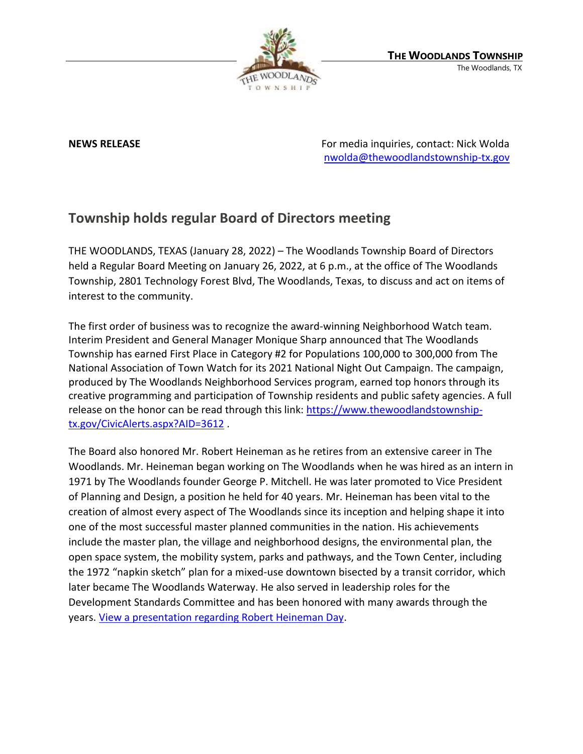

**NEWS RELEASE** For media inquiries, contact: Nick Wolda [nwolda@thewoodlandstownship-tx.gov](mailto:nwolda@thewoodlandstownship-tx.gov)

## **Township holds regular Board of Directors meeting**

THE WOODLANDS, TEXAS (January 28, 2022) – The Woodlands Township Board of Directors held a Regular Board Meeting on January 26, 2022, at 6 p.m., at the office of The Woodlands Township, 2801 Technology Forest Blvd, The Woodlands, Texas, to discuss and act on items of interest to the community.

The first order of business was to recognize the award-winning Neighborhood Watch team. Interim President and General Manager Monique Sharp announced that The Woodlands Township has earned First Place in Category #2 for Populations 100,000 to 300,000 from The National Association of Town Watch for its 2021 National Night Out Campaign. The campaign, produced by The Woodlands Neighborhood Services program, earned top honors through its creative programming and participation of Township residents and public safety agencies. A full release on the honor can be read through this link: [https://www.thewoodlandstownship](https://www.thewoodlandstownship-tx.gov/CivicAlerts.aspx?AID=3612)[tx.gov/CivicAlerts.aspx?AID=3612](https://www.thewoodlandstownship-tx.gov/CivicAlerts.aspx?AID=3612) .

The Board also honored Mr. Robert Heineman as he retires from an extensive career in The Woodlands. Mr. Heineman began working on The Woodlands when he was hired as an intern in 1971 by The Woodlands founder George P. Mitchell. He was later promoted to Vice President of Planning and Design, a position he held for 40 years. Mr. Heineman has been vital to the creation of almost every aspect of The Woodlands since its inception and helping shape it into one of the most successful master planned communities in the nation. His achievements include the master plan, the village and neighborhood designs, the environmental plan, the open space system, the mobility system, parks and pathways, and the Town Center, including the 1972 "napkin sketch" plan for a mixed-use downtown bisected by a transit corridor, which later became The Woodlands Waterway. He also served in leadership roles for the Development Standards Committee and has been honored with many awards through the years. [View a presentation regarding Robert Heineman Day.](https://www.thewoodlandstownship-tx.gov/ArchiveCenter/ViewFile/Item/12037)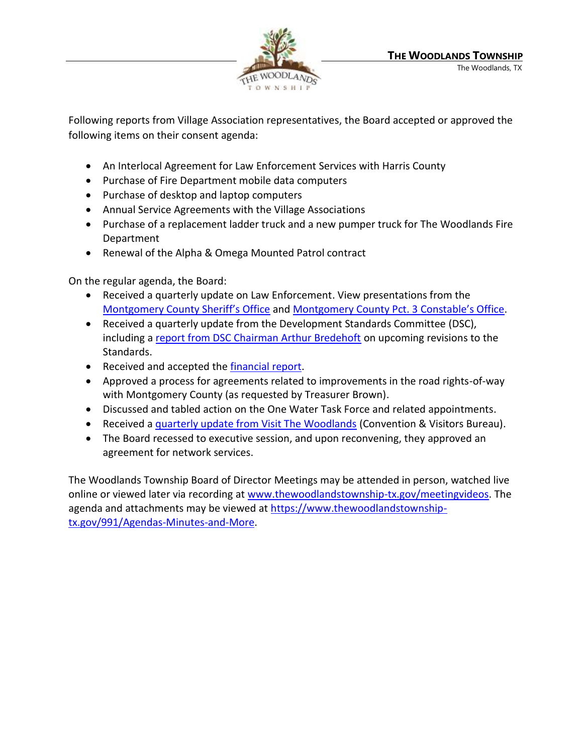

Following reports from Village Association representatives, the Board accepted or approved the following items on their consent agenda:

- An Interlocal Agreement for Law Enforcement Services with Harris County
- Purchase of Fire Department mobile data computers
- Purchase of desktop and laptop computers
- Annual Service Agreements with the Village Associations
- Purchase of a replacement ladder truck and a new pumper truck for The Woodlands Fire Department
- Renewal of the Alpha & Omega Mounted Patrol contract

On the regular agenda, the Board:

- Received a quarterly update on Law Enforcement. View presentations from the [Montgomery County Sheriff's Office](https://www.thewoodlandstownship-tx.gov/ArchiveCenter/ViewFile/Item/12034) and [Montgomery County Pct. 3](https://www.thewoodlandstownship-tx.gov/ArchiveCenter/ViewFile/Item/12038) Constable's Office.
- Received a quarterly update from the Development Standards Committee (DSC), including a [report from DSC Chairman Arthur Bredehoft](https://www.thewoodlandstownship-tx.gov/Archive.aspx?ADID=12033) on upcoming revisions to the Standards.
- Received and accepted the **financial report**.
- Approved a process for agreements related to improvements in the road rights-of-way with Montgomery County (as requested by Treasurer Brown).
- Discussed and tabled action on the One Water Task Force and related appointments.
- Received a *quarterly update from Visit The Woodlands* (Convention & Visitors Bureau).
- The Board recessed to executive session, and upon reconvening, they approved an agreement for network services.

The Woodlands Township Board of Director Meetings may be attended in person, watched live online or viewed later via recording at [www.thewoodlandstownship-tx.gov/meetingvideos.](http://www.thewoodlandstownship-tx.gov/meetingvideos) The agenda and attachments may be viewed at [https://www.thewoodlandstownship](https://www.thewoodlandstownship-tx.gov/991/Agendas-Minutes-and-More)[tx.gov/991/Agendas-Minutes-and-More.](https://www.thewoodlandstownship-tx.gov/991/Agendas-Minutes-and-More)